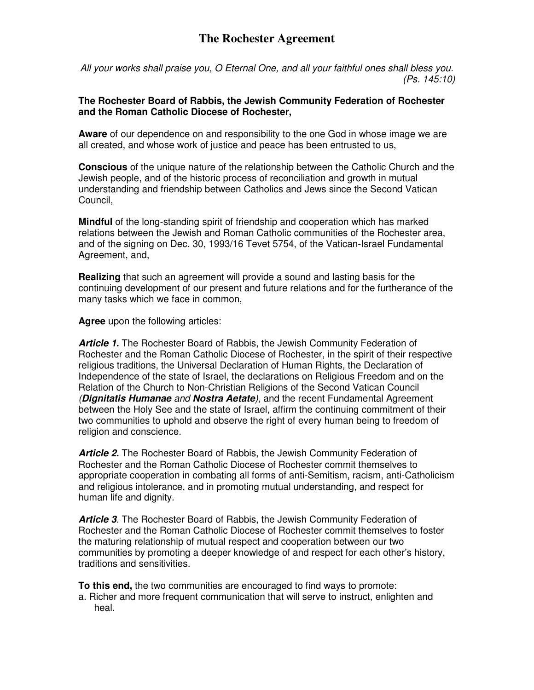## **The Rochester Agreement**

All your works shall praise you, O Eternal One, and all your faithful ones shall bless you. (Ps. 145:10)

## **The Rochester Board of Rabbis, the Jewish Community Federation of Rochester and the Roman Catholic Diocese of Rochester,**

**Aware** of our dependence on and responsibility to the one God in whose image we are all created, and whose work of justice and peace has been entrusted to us,

**Conscious** of the unique nature of the relationship between the Catholic Church and the Jewish people, and of the historic process of reconciliation and growth in mutual understanding and friendship between Catholics and Jews since the Second Vatican Council,

**Mindful** of the long-standing spirit of friendship and cooperation which has marked relations between the Jewish and Roman Catholic communities of the Rochester area, and of the signing on Dec. 30, 1993/16 Tevet 5754, of the Vatican-Israel Fundamental Agreement, and,

**Realizing** that such an agreement will provide a sound and lasting basis for the continuing development of our present and future relations and for the furtherance of the many tasks which we face in common,

**Agree** upon the following articles:

**Article 1.** The Rochester Board of Rabbis, the Jewish Community Federation of Rochester and the Roman Catholic Diocese of Rochester, in the spirit of their respective religious traditions, the Universal Declaration of Human Rights, the Declaration of Independence of the state of Israel, the declarations on Religious Freedom and on the Relation of the Church to Non-Christian Religions of the Second Vatican Council (**Dignitatis Humanae** and **Nostra Aetate**), and the recent Fundamental Agreement between the Holy See and the state of Israel, affirm the continuing commitment of their two communities to uphold and observe the right of every human being to freedom of religion and conscience.

**Article 2.** The Rochester Board of Rabbis, the Jewish Community Federation of Rochester and the Roman Catholic Diocese of Rochester commit themselves to appropriate cooperation in combating all forms of anti-Semitism, racism, anti-Catholicism and religious intolerance, and in promoting mutual understanding, and respect for human life and dignity.

**Article 3**. The Rochester Board of Rabbis, the Jewish Community Federation of Rochester and the Roman Catholic Diocese of Rochester commit themselves to foster the maturing relationship of mutual respect and cooperation between our two communities by promoting a deeper knowledge of and respect for each other's history, traditions and sensitivities.

**To this end,** the two communities are encouraged to find ways to promote:

a. Richer and more frequent communication that will serve to instruct, enlighten and heal.